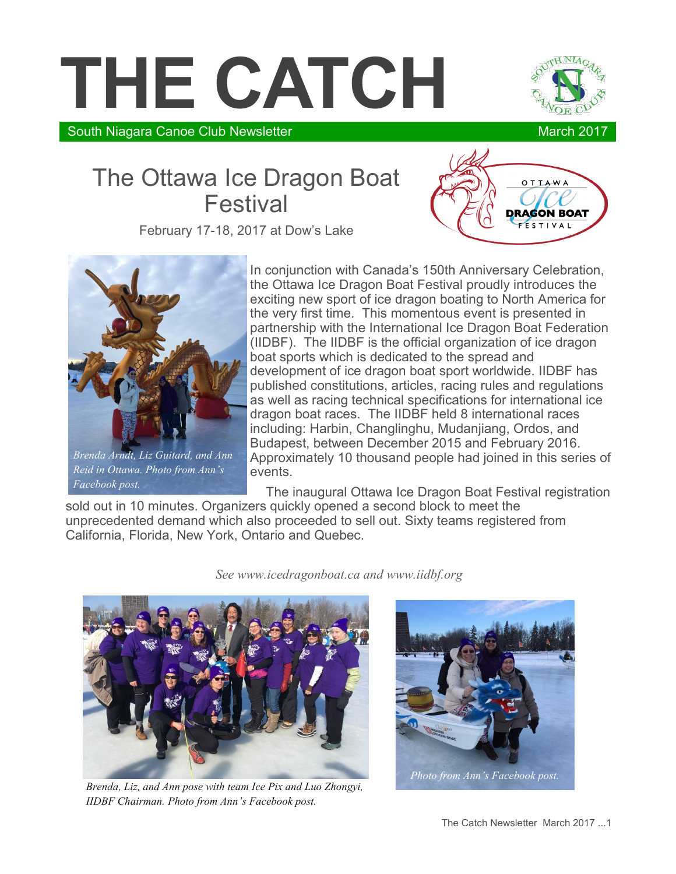# **THE CATCH**



South Niagara Canoe Club Newsletter March 2017

## The Ottawa Ice Dragon Boat Festival

February 17-18, 2017 at Dow's Lake





*Brenda Arndt, Liz Guitard, and Ann Reid in Ottawa. Photo from Ann's Facebook post.*

In conjunction with Canada's 150th Anniversary Celebration, the Ottawa Ice Dragon Boat Festival proudly introduces the exciting new sport of ice dragon boating to North America for the very first time. This momentous event is presented in partnership with the International Ice Dragon Boat Federation (IIDBF). The IIDBF is the official organization of ice dragon boat sports which is dedicated to the spread and development of ice dragon boat sport worldwide. IIDBF has published constitutions, articles, racing rules and regulations as well as racing technical specifications for international ice dragon boat races. The IIDBF held 8 international races including: Harbin, Changlinghu, Mudanjiang, Ordos, and Budapest, between December 2015 and February 2016. Approximately 10 thousand people had joined in this series of events.

The inaugural Ottawa Ice Dragon Boat Festival registration

sold out in 10 minutes. Organizers quickly opened a second block to meet the unprecedented demand which also proceeded to sell out. Sixty teams registered from California, Florida, New York, Ontario and Quebec.

*See www.icedragonboat.ca and www.iidbf.org*



*Brenda, Liz, and Ann pose with team Ice Pix and Luo Zhongyi, IIDBF Chairman. Photo from Ann's Facebook post.*

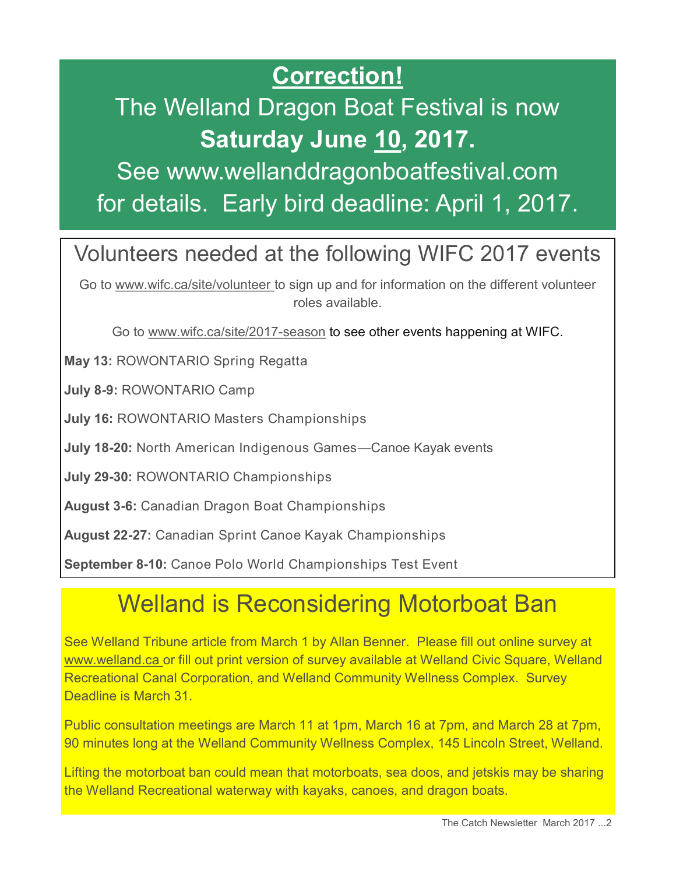# **Correction!**

# The Welland Dragon Boat Festival is now **Saturday June 10, 2017.**

See www.wellanddragonboatfestival.com for details. Early bird deadline: April 1, 2017.

## Volunteers needed at the following WIFC 2017 events

Go to www.wifc.ca/site/volunteer to sign up and for information on the different volunteer roles available.

Go to www.wifc.ca/site/2017-season to see other events happening at WIFC.

**May 13:** ROWONTARIO Spring Regatta

**July 8-9:** ROWONTARIO Camp

**July 16:** ROWONTARIO Masters Championships

**July 18-20:** North American Indigenous Games—Canoe Kayak events

**July 29-30:** ROWONTARIO Championships

**August 3-6:** Canadian Dragon Boat Championships

**August 22-27:** Canadian Sprint Canoe Kayak Championships

**September 8-10:** Canoe Polo World Championships Test Event

# Welland is Reconsidering Motorboat Ban

See Welland Tribune article from March 1 by Allan Benner. Please fill out online survey at www.welland.ca or fill out print version of survey available at Welland Civic Square, Welland Recreational Canal Corporation, and Welland Community Wellness Complex. Survey Deadline is March 31.

Public consultation meetings are March 11 at 1pm, March 16 at 7pm, and March 28 at 7pm, 90 minutes long at the Welland Community Wellness Complex, 145 Lincoln Street, Welland.

Lifting the motorboat ban could mean that motorboats, sea doos, and jetskis may be sharing the Welland Recreational waterway with kayaks, canoes, and dragon boats.